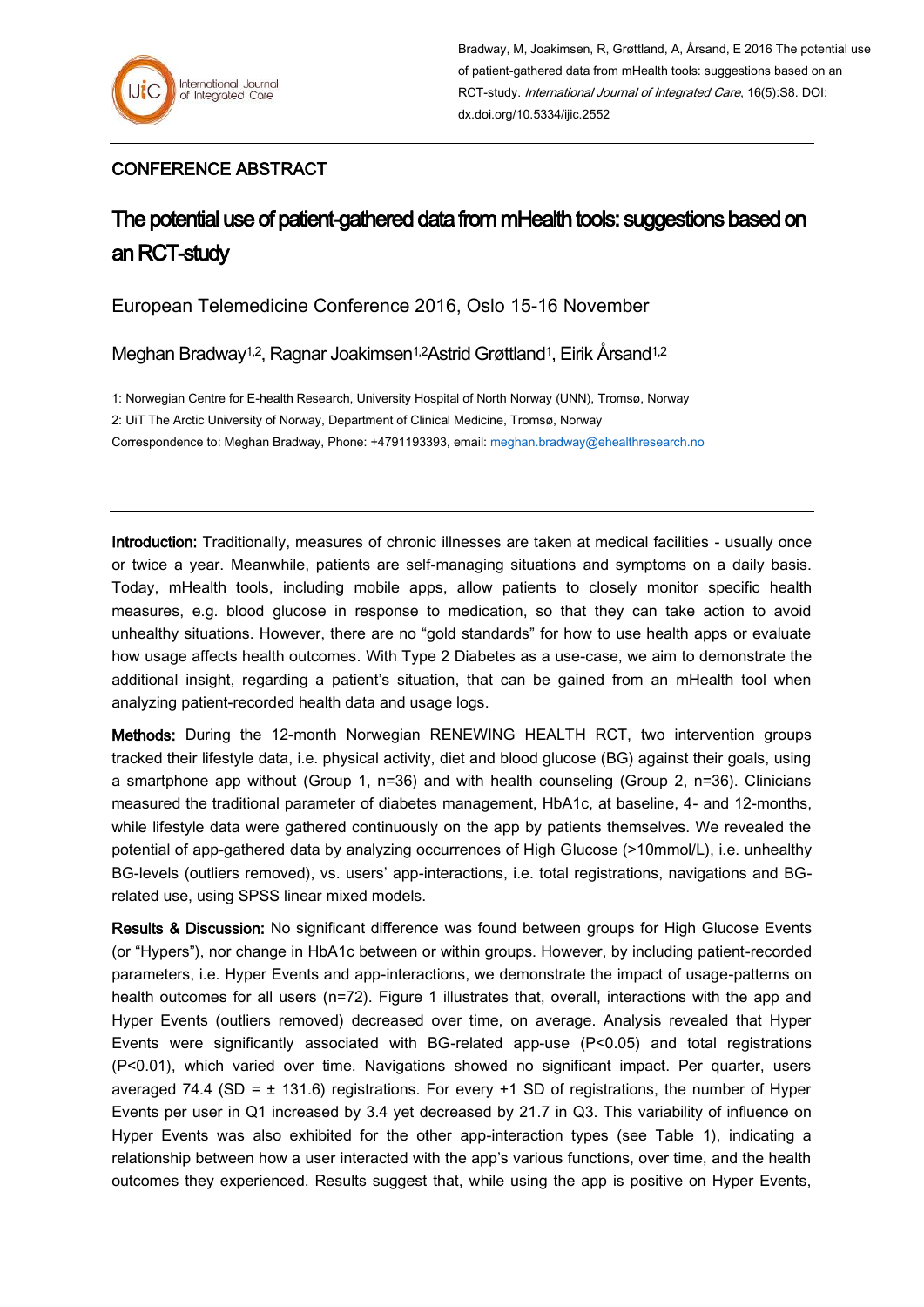## CONFERENCE ABSTRACT

## The potential use of patient-gathered data from mHealth tools: suggestions based on an RCT-study

European Telemedicine Conference 2016, Oslo 15-16 November

Meghan Bradway<sup>1,2</sup>, Ragnar Joakimsen<sup>1,2</sup>Astrid Grøttland<sup>1</sup>, Eirik Årsand<sup>1,2</sup>

1: Norwegian Centre for E-health Research, University Hospital of North Norway (UNN), Tromsø, Norway 2: UiT The Arctic University of Norway, Department of Clinical Medicine, Tromsø, Norway Correspondence to: Meghan Bradway, Phone: +4791193393, email: [meghan.bradway@ehealthresearch.no](mailto:meghan.bradway@ehealthresearch.no)

Introduction: Traditionally, measures of chronic illnesses are taken at medical facilities - usually once or twice a year. Meanwhile, patients are self-managing situations and symptoms on a daily basis. Today, mHealth tools, including mobile apps, allow patients to closely monitor specific health measures, e.g. blood glucose in response to medication, so that they can take action to avoid unhealthy situations. However, there are no "gold standards" for how to use health apps or evaluate how usage affects health outcomes. With Type 2 Diabetes as a use-case, we aim to demonstrate the additional insight, regarding a patient's situation, that can be gained from an mHealth tool when analyzing patient-recorded health data and usage logs.

Methods: During the 12-month Norwegian RENEWING HEALTH RCT, two intervention groups tracked their lifestyle data, i.e. physical activity, diet and blood glucose (BG) against their goals, using a smartphone app without (Group 1, n=36) and with health counseling (Group 2, n=36). Clinicians measured the traditional parameter of diabetes management, HbA1c, at baseline, 4- and 12-months, while lifestyle data were gathered continuously on the app by patients themselves. We revealed the potential of app-gathered data by analyzing occurrences of High Glucose (>10mmol/L), i.e. unhealthy BG-levels (outliers removed), vs. users' app-interactions, i.e. total registrations, navigations and BGrelated use, using SPSS linear mixed models.

Results & Discussion: No significant difference was found between groups for High Glucose Events (or "Hypers"), nor change in HbA1c between or within groups. However, by including patient-recorded parameters, i.e. Hyper Events and app-interactions, we demonstrate the impact of usage-patterns on health outcomes for all users (n=72). Figure 1 illustrates that, overall, interactions with the app and Hyper Events (outliers removed) decreased over time, on average. Analysis revealed that Hyper Events were significantly associated with BG-related app-use (P<0.05) and total registrations (P<0.01), which varied over time. Navigations showed no significant impact. Per quarter, users averaged 74.4 (SD =  $\pm$  131.6) registrations. For every +1 SD of registrations, the number of Hyper Events per user in Q1 increased by 3.4 yet decreased by 21.7 in Q3. This variability of influence on Hyper Events was also exhibited for the other app-interaction types (see Table 1), indicating a relationship between how a user interacted with the app's various functions, over time, and the health outcomes they experienced. Results suggest that, while using the app is positive on Hyper Events,